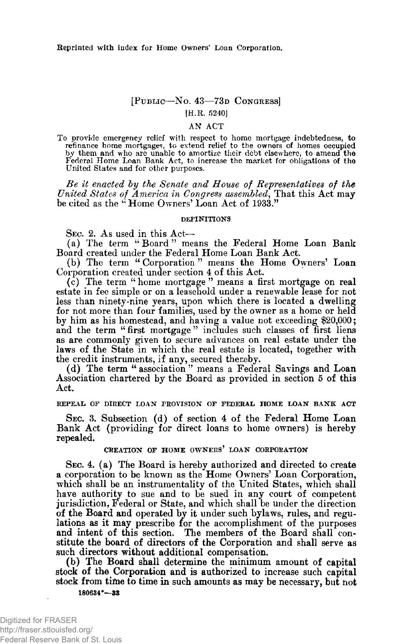# **[PUBLIC— N o . 43— 73D CONGRESS] [H.R. 3240]**

### **AN ACT**

To provide emergency relief with respect to home mortgage indebtedness, to refinance home mortgages, to extend relief to the owners of homes occupied by them and who are unable to amortize their debt elsewhere, to amend th **Federal Home Loan Bank Act, to increase the market for obligations of the United States and for other purposes.**

of Rep<u>resentatives</u> of  $States$  of America in Congress assembled, That this Act may **be citcd as the " Home Owners' Loan Act oi 1933."**

#### **DEFINITIONS**

**SEC. 2. As used in this Act—**

**(a) The term " Board " means the Federal Home Loan Bank Board created under the Federal Home Loan Bank Act.**

**(b) The term " Corporation " means the Home Owners' Loan Corporation created under section 4 of this Act.**

(c) The term " home mortgage" means a first mortgage on real **estate in fee simple or on a leasehold under a renewable lease for not less than ninety-nine years, upon which there is located a dwelling for not more than four families, used by the owner as a home or held by him as his homestead, and having a value not exceeding \$20,000;** and the term "first mortgage" includes such classes of first liens **as are commonly given to secure advances on real estate under the laws of the State in which the real estate is located, together with the credit instruments, if any, secured thereby.**

**(d) The term "association" means a Federal Savings and Loan Association chartered by the Board as provided in section 5 of this Act.**

**REPEAL OF DIRECT LOAN PROVISION OF FEDERAL HOME LOAN BANK ACT**

**SEC. 3. Subsection (d) of section 4 of the Federal Home Loan Bank Act (providing for direct loans to home owners) is hereby repealed.**

## **CREATION OF HOME OWNERS' LOAN CORPORATION**

**SEC. 4. (a) The Board is hereby authorized and directed to create a corporation to be known as the Home Owners' Loan Corporation, which shall be an instrumentality of the United States, which shall have authority to sue and to be sued in any court of competent jurisdiction, Federal or State, and which shall be under the direction of the Board and operated by it under such bylaws, rules, and regulations as it may prescribe for the accomplishment of the purposes** and intent of this section. The members of the Board shall con**stitute the board of directors of the Corporation and shall serve as such directors without additional compensation.**

**(b) The Board shall determine the minimum amount of capital stock of the Corporation and is authorized to increase such capital** stock from time to time in such amounts as may be necessary, but not **M0634\*—33**

Digitized for FRASER http://fraser.stlouisfed.org/ Federal Reserve Bank of St. Louis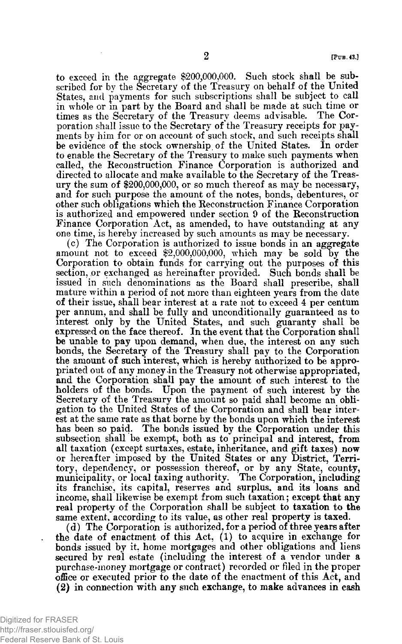to exceed in the aggregate \$200,000,000. Such stock shall be sub**scribed for by the Secretary of the Treasury on behalf of the United States, and payments for such subscriptions shall be subject to call in whole or in part by the Board and shall be made at such time or** times as the Secretary of the Treasury deems advisable. **poration shall issue to the Secretary of the Treasury receipts for payments by him for or on account of such stock, and such receipts shall be evidence of the stock ownership of the United States. In order to enable the Secretary of the Treasury to make such payments when called, the Reconstruction Finance Corporation is authorized and directed to allocate and make available to the Secretary of the Treasury the sum of \$200,000,000, or so much thereof as may be necessary, and for such purpose the amount of the notes, bonds, debentures, or other such obligations which the Reconstruction Finance Corporation is authorized and empowered under section 9 of the Reconstruction Finance Corporation Act, as amended, to have outstanding at any one time, is hereby increased by such amounts as may be necessary.**

**(c) The Corporation is authorized to issue bonds in an aggregate** amount not to exceed \$2,000,000,000, which may be sold by the **Corporation to obtain funds for carrying out the purposes of this section, or exchanged as hereinafter provided. Such bonds shall be issued in such denominations as the Board shall prescribe, shall mature within a period of not more than eighteen years from the date of their issue, shall bear interest at a rate not to exceed 4 per centum per annum, and shall be fully and unconditionally guaranteed as to interest only by the United States, and such guaranty shall be expressed on the face thereof. In the event that the Corporation shall be unable to pay upon demand, when due, the interest on any such bonds, the Secretary of the Treasury shall pay to the Corporation the amount of such interest, which is hereby authorized to be appropriated out of any money in the Treasury not otherwise appropriated, and the Corporation shall pay the amount of such interest to the holders of the bonds. Upon the payment of such interest by the Secretary of the Treasury the amount so paid shall become an obligation to the United States of the Corporation and shall bear interest at the same rate as that borne by the bonds upon which the interest has been so paid. The bonds issued by the Corporation under this subsection shall be exempt, both as to principal and interest, from all taxation (except surtaxes, estate, inheritance, and gift taxes) now or hereafter imposed by the United States or any District, Territory, dependency, or possession thereof, or by any State, county, municipality, or local taxing authority. The Corporation, including its franchise, its capital, reserves and surplus, and its loans and income, shall likewise be exempt from such taxation; except that any real property of the Corporation shall be subject to taxation to the same extent, according to its value, as other real property is taxed.**

**(d) The Corporation is authorized, for a period of three years after the date of enactment of this Act, (1) to acquire in exchange for bonds issued by it, home mortgages and other obligations and liens secured by real estate (including the interest of a vendor under a purchase-money mortgage or contract) recorded or filed in the proper oiEce or executed prior to the date of the enactment of this Act, and (2) in connection with any such exchange, to make advances in cash**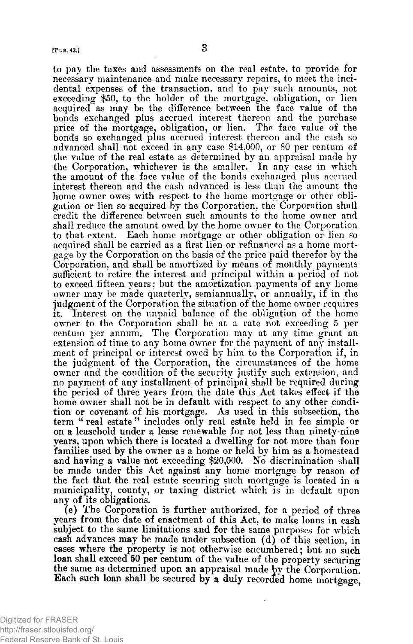**to pay the taxes and assessments on the real estate, to provide for necessary maintenance and make necessary repairs, to meet the incidental expenses of the transaction, and to pay such amounts, not exceeding \$50, to the holder of the mortgage, obligation, or lien acquired as may be the difference between the face value of the bonds exchanged plus accrued interest thereon and the purchase price of the mortgage, obligation, or lien. The face value of the bonds so exchanged plus accrued interest thereon and the cash so advanced shall not exceed in any case \$14,000, or 80 per centum of the value of the real estate as determined by an appraisal made by the Corporation, whichever is the smaller. In any case in which the amount of the face value of the bonds exchanged plus accrued interest thereon and the cash advanced is less than the amount the home owner owes with respect to the home mortgage or other obligation or lien so acquired by the Corporation, the Corporation shall credit the difference between such amounts to the home owner and shall reduce the amount owed by the home owner to the Corporation to that extent. Each home mortgage or other obligation or lien so** acquired shall be carried as a first lien or refinanced as a home mort**gage by the Corporation on the basis of the price paid therefor by the Corporation, and shall be amortized by means of monthly payments** sufficient to retire the interest and principal within a period of not **to exceed fifteen years; but the amortization payments of any home owner may be made quarterly, semiannually, or annually, if in the judgment of the Corporation the situation of the home owner requires it. Interest on the unpaid balance of the obligation of the home owner to the Corporation shall be at a rate not exceeding 5 per centum per annum. The Corporation may at any time grant an extension of time to any home owner for the payment of any installment of principal or interest owed by him to the Corporation if, in the judgment of the Corporation, the circumstances of the home owner and the condition of the security justify such extension, and no payment of any installment of principal shall be required during the period of three years from the date this Act takes effect if the** home owner shall not be in default with respect to any other condi**tion or covenant of his mortgage. As used in this subsection, the term " real estate " includes only real estate held in fee simple or on a leasehold under a lease renewable for not less than ninety-nine years, upon which there is located a dwelling for not more than four families used by the owner as a home or held by him as a homestead and having a value not exceeding \$20,000. No discrimination shall be made under this Act against any home mortgage by reason of the fact that the real estate securing such mortgage is located in a municipality, county, or taxing district which is in default upon any of its obligations.**

**^e) The Corporation is further authorized, for a period of three years from the date of enactment of this Act, to make loans in cash subject to the same limitations and for the same purposes for which cash advances may be made under subsection (d) of this section, in cases where the property is not otherwise encumbered; but no such loan shall exceed 50 per centum of the value of the property securing** the same as determined upon an appraisal made by the Corporation. **Each such loan shall be secured by a duly recorded home mortgage,**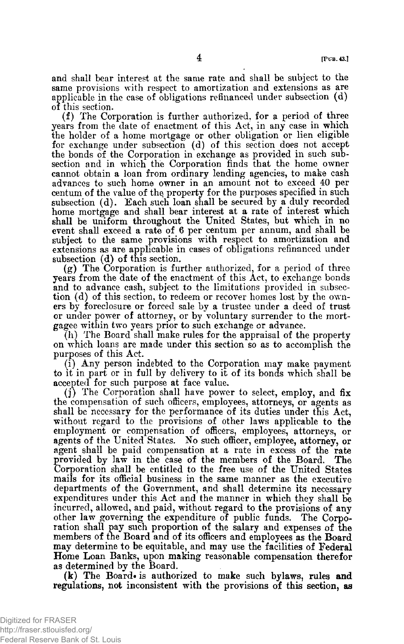**and shall bear interest at the same rate and shall be subject to the same provisions with respect to amortization and extensions as are applicable in the case of obligations refinanced under subsection (d) of this section.**

**(f) The Corporation is further authorized, for a period of three years from the date of enactment of this Act, in any case in which the holder of a home mortgage or other obligation or lien eligible for exchange under subsection (d) of this section does not accept the bonds of the Corporation in exchange as provided in such sub**section and in which the Corporation finds that the home owner **cannot obtain a loan from ordinary lending agencies, to make cash advances to such home owner in an amount not to exceed 40 per centum of the value of the property for the purposes specified in such subsection (d). Each such loan shall be secured by a duly recorded home mortgage and shall bear interest at a rate of interest which shall be uniform throughout the United States, but which in no event shall exceed a rate of 6 per centum per annum, and shall be subject to the same provisions with respect to amortization and extensions as are applicable in cases of obligations refinanced under subsection (d) of this section.**

**(g) The Corporation is further authorized, for a period of three years from the date of the enactment of this Act, to exchange bonds and to advance cash, subject to the limitations provided in subsection (d) of this section, to redeem or recover homes lost by the owners by foreclosure or forced sale by a trustee under a deed of trust or under power of attorney, or by voluntary surrender to the mortgagee within two years prior to such exchange or advance.**

**(h) The Board shall make rules for the appraisal of the property on which loans are made under this section so as to accomplish the purposes of this Act.**

**(i) Any person indebted to the Corporation may make payment to it in part or in full by delivery to it of its bonds which shall be accepted for such purpose at face value.**

**(j) The Corporation shall have power to select, employ, and fix** the compensation of such officers, employees, attorneys, or agents as **shall be necessary for the performance of its duties under this Act, without regard to the provisions of other laws applicable to the** employment or compensation of officers, employees, attorneys, or **agents of the United States.** No such officer, employee, attorney, or **agent shall be paid compensation at a rate in excess of the rate provided by law in the case of the members of the Board. The Corporation shall be entitled to the free use of the United States mails for its ofBcial business in the same manner as the executive departments of the Government, and shall determine its necessary expenditures under this Act and the manner in which they shall be incurred, allowed, and paid, without regard to the provisions of any other law governing the expenditure of public funds. The Corporation shall pay such proportion of the salary and expenses of the members of the Board and of its ofHcers and employees as the Board may determine to be equitable, and may use the facilities of Federal Home Loan Banks, upon making reasonable compensation therefor as determined by the Board.**

**(k) The Board\* is authorized to make such bylaws, rules and regulations, not inconsistent with the provisions of this section, as**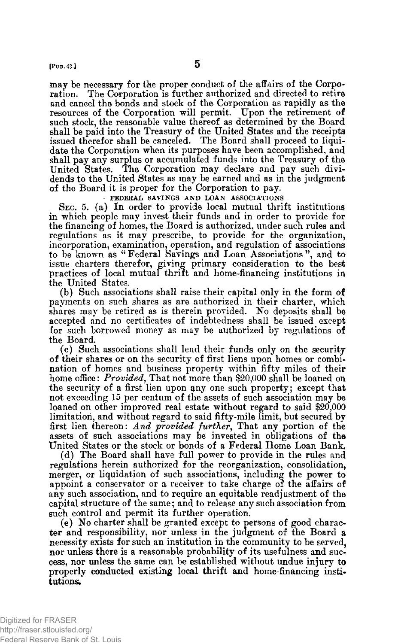**[Pun.43j 5**

**may be necessary for the proper conduct of the affairs of the Corporation. The Corporation is further authorized and directed to retire and cancel the bonds and stock of the Corporation as rapidly as the resources of the Corporation will permit. Upon the retirement of such stock, the reasonable value thereof as determined by the Board shall be paid into the Treasury of the United States and the receipts issued therefor shall be canceled. The Board shall proceed to liquidate the Corporation when its purposes have been accomplished, and shall pay any surplus or accumulated funds into the Treasury of the United States. The Corporation may declare and pay such divi-**

**of the Board it is proper for the Corporation to pay. FEDERAL SAVINGS AND LOAN ASSOCIATIONS**

**dends to the United States as may be earned and as in the judgment**

**SEC. 5. (a) In order to provide local mutual thrift institutions in which people may invest their funds and in order to provide for the financing of homes, the Board is authorized, under such rules and regulations as it may prescribe, to provide for the organization, incorporation, examination, operation, and regulation of associations to be known as "Federal Savings and Loan Associations", and to issue charters therefor, giving primary consideration to the best practices of local mutual thritt and home-financing institutions in the United States.**

**(b) Such associations shall raise their capital only in the form of payments on such shares as are authorized in their charter, which shares may be retired as is therein provided. No deposits shall be accepted and no certificates of indebtedness shall be issued except for such borrowed money as may be authorized by regulations of the Board.**

**(c) Such associations shall lend their funds only on the security of their shares or on the security of first liens upon homes or combination of homes and business property within fifty miles of their home ofHce: That not more than \$20,000 shall be loaned on the security of a first lien upon any one such property; except that not exceeding 15 per centum of the assets of such association may be loaned on other improved real estate without regard to said \$20,000 limitation, and without regard to said fifty-mile Emit, but secured by** first lien thereon: And provided further, That any portion of the **assets of such associations may be invested in obligations of the United States or the stock or bonds of a Federal Home Loan Bank.**

**(d) The Board shall have full power to provide in the rules and regulations herein authorized for the reorganization, consolidation, merger, or liquidation of such associations, including the power to appoint a conservator or a receiver to take charge of the affairs of any such association, and to require an equitable readjustment of the capital structure of the same; and to release any such association from such control and permit its further operation.**

**(e) No charter shall be granted except to persons of good character and responsibility, nor unless in the judgment of the Board a necessity exists for such an institution in the community to be served, nor unless there is a reasonable probability of its usefulness and success, nor unless the same can be established without undue injury to properly conducted existing local thrift and home-financing institutions.**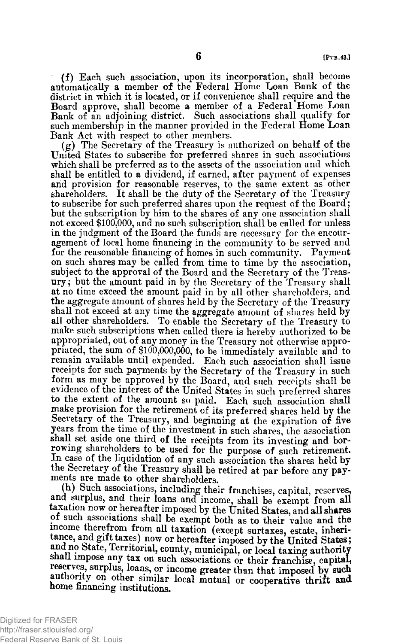**(f) Each such association, upon its incorporation, shall become automatically a member of the Federal Home Loan Bank of the district in which it is located, or if convenience shall require and the Board approve, shall become a member of a Federal Home Loan Bank of an adjoining district. Such associations shall qualify for such membership in the manner provided in the Federal Home Loan Bank Act with respect to other members.**

**(g) The Secretary of the Treasury is authorized on behalf of the United States to subscribe for preferred shares in such associations which shall be preferred as to the assets of the association and which Ehall be entitled to a dividend, if earned, after payment of expenses and provision for reasonable reserves, to the same extent as other shareholders. It shall be the duty of the Secretary of the Treasury to subscribe for such preferred shares upon the request of the Board; but the subscription by him to the shares of any one association shall not exceed \$100,000, and no such subscription shall be called for unless in the judgment of the Board the funds are necessary for the encouragement of local home financing in the community to be served and for the reasonable financing of homes in such community. Payment on such shares may be called from time to time by the association, subject to the approval of the Board and the Secretary of the Treasury ; but the amount paid in by the Secretary of the Treasury shall at no time exceed the amount paid in by all other shareholders, and the aggregate amount of shares held by the Secretary of the Treasury shall not exceed at any time the aggregate amount of shares held by all other shareholders. To enable the Secretary of the Treasury to make such subscriptions when called there is hereby authorized to be appropriated, out of any money in the Treasury not otherwise appropriated, the sum of \$100,000,000, to be immediately available and to remain available until expended. Each such association shall issue receipts for such payments by the Secretary of the Treasury in such form as may be approved by the Board, and such receipts shall be evidence of the interest of the United States in such preferred shares to the extent of the amount so paid. Each such association shall make provision for the retirement of its preferred shares held by the Secretary of the Treasury, and beginning at the expiration of five years from the time of the investment in such shares, the association shall set aside one third of the receipts from its investing and borrowing shareholders to be used for the purpose of such retirement. La case of the liquidation of any such association the shares held by the Secretary of the Treasury shall be retired at par before any payments are made to other shareholders.**

**(h) Such associations, including their franchises, capital, reserves,** and surplus, and their loans and income, shall be exempt from all **taxation now or hereafter imposed by the United States, and all shares of such associations shall be exempt both as to their value and the income therefrom from all taxation (except surtaxes, estate, inheri**tance, and gift taxes) now or hereafter imposed by the United States; and no State, Territorial, county, municipal, or local taxing authority **snail impose any tax on such associations or their franchise, capital, reserves, surplus, loans, or income greater than that imposed by such authority on other similar local mutual or cooperative thrift and home financing institutions.**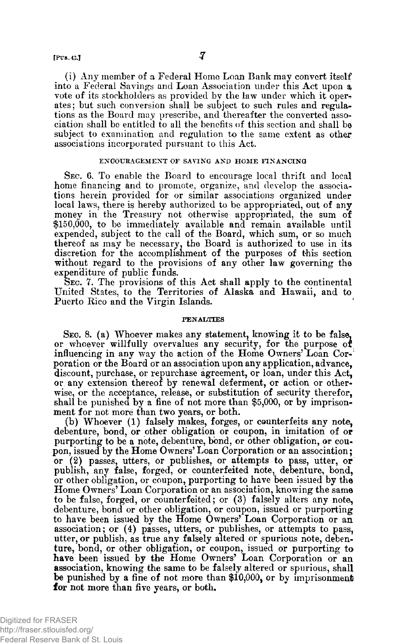**(i) Any member of a, Federal Home Loan Dank may con vert itself into a Federal Savings and Loan Association under this Act upon a.** vote of its stockholders as provided by the law under which it oper**ates; but such conversion shall be subject to such rules and regulations as the Board may prescribe, and thereafter the converted association shall be entitled to all the benefits of this section and shall be subject to examination and regulation to the same extent as other associations incorporated pursuant to this Act.**

## **ENCOURAGEMENT OF SAVING AND HOME FINANCING**

**SEC. 6. To enable the Board to encourage local thrift and local home financing and to promote, organize, and develop the associations herein provided for or similar associations organized under local laws, there is hereby authorized to be appropriated, out of any money in the Treasury not otherwise appropriated, the sum of \$150,000, to be immediately available and remain available until expended, subject to the call of the Board, which sum, or so much thereof as may be necessary, the Board is authorized to use in its discretion for the accomplishment of the purposes of this section without regard to the provisions of any other law governing the expenditure of public funds.**

**SEC. 7. The provisions of this Act shall apply to the continental United States, to the Territories of Alaska and Hawaii, and to Puerto Rico and the Virgin Islands.**

## **PENALTIES**

**SEC. 8. (a) Whoever makes any statement, knowing it to be false,** or whoever willfully overvalues any security, for the purpose of **influencing in any way the action of the Home Owners' Loan Corporation or the Board or an association upon any application, advance, discount, purchase, or repurchase agreement, or loan, under this Act, or any extension thereof by renewal deferment, or action or otherwise, or the acceptance, release, or substitution of security therefor, shall be punished by a fine of not more than \$5,000, or by imprisonment for not more than two years, or both.**

**(b) Whoever (1) falsely makes, forges, or counterfeits any note, debenture, bond, or other obligation or coupon, in imitation of or purporting to be a note, debenture, bond, or other obligation, or coupon, issued by the Home Owners' Loan Corporation or an association; or (2) passes, utters, or publishes, or attempts to pass, utter, or publish, any false, forged, or counterfeited note, debenture, bond, or other obligation, or coupon, purporting to have been issued by the Home Owners' Loan Corporation or an association, knowing the same to be false, forged, or counterfeited; or (3) falsely alters any note, debenture, bond or other obligation, or coupon, issued or purporting to have been issued by the Home Owners' Loan Corporation or an association; or (4) passes, utters, or publishes, or attempts to pass, utter, or publish, as true any falsely altered or spurious note, debenture, bond, or other obligation, or coupon, issued or purporting to have been issued by the Home Owners' Loan Corporation or an association, knowing the same to be falsely altered or spurious, shall be punished by a fine of not more than \$10,000, or by imprisonment for not more than five years, or both.**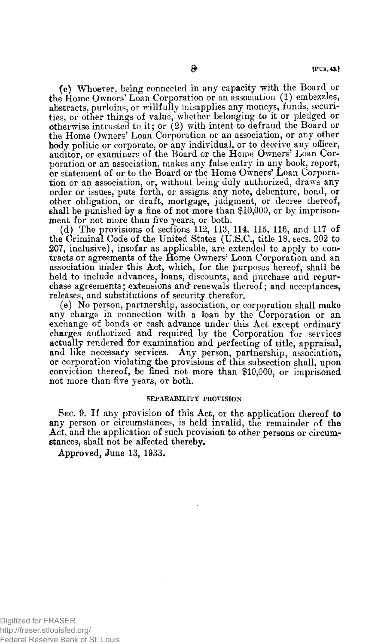**(c) IVhoever, being connected in any capacity with the Board or the Home Owners' Loan Corporation or an association (1) embezzles, abstracts, purloins, or willfully misapplies any moneys, funds, securities, or other things of value/whether belonging to it or pledged or otherwise intrusted to it; or (2) with intent to defraud the Board or the Home Owners' Loan Corporation or an association, or any other body politic or corporate, or any individual, or to deceive any oHicer, auditor, or examiners of the Board or the Home Owners' Loan Corporation or an association, makes any false entry in any book, report, or statement of or to the Board or the Home Owners' Loan Corporation or an association, or, without being duly authorized, draws any order or issues, puts forth, or assigns any note, debenture, bond, or other obligation, or draft, mortgage, judgment, or decree thereof, shall be punished by a fine of not more than \$10,000, or by imprisonment for not more than five years, or both.**

(d) The provisions of sections 112, 113, 114, 115, 116, and 117 of **the Criminal Code of the United States (U.S.C., title 18, secs. 202 to 207, inclusive), insofar as applicable, are extended to apply to contracts or agreements of the Home Owners' Loan Corporation and an association under this Act, which, for the purposes hereof, shall be** held to include advances, loans, discounts, and purchase and repur**chase agreements; extensions and renewals thereof; and acceptances, releases, and substitutions of security therefor.**

**(e) No person, partnership, association, or corporation shall make any charge in connection with a loan by the Corporation or an exchange of bonds or cash advance under this Act except ordinary charges authorized and required by the Corporation for services actually rendered for examination and perfecting of title, appraisal, and like necessary services. Any person, partnership, association, or corporation violating the provisions of this subsection shall, upon conviction thereof, be fined not more than \$10,000, or imprisoned not more than five years, or both.**

#### **SEPARABILITY PROVISION**

**SEC. 9. If any provision of this Act, or the application thereof to any person or circumstances, is held invalid, the remainder of the Act, and the application of such provision to other persons or circumstances, shall not be affected thereby.**

**Approved, June 13, 1933.**

Digitized for FRASER http://fraser.stlouisfed.org/ Federal Reserve Bank of St. Louis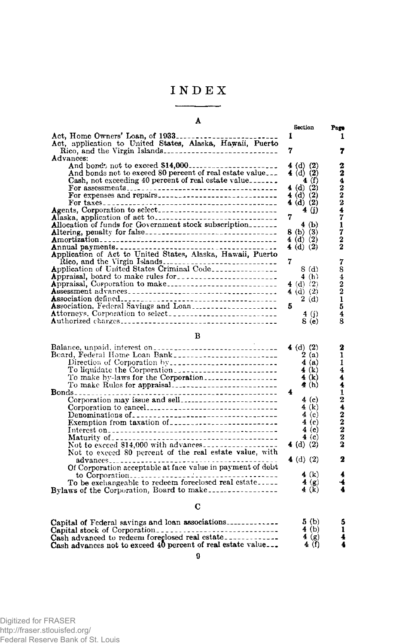# **INDEX**

# **A Section Act, Home Owners' Loan, of 1933\_\_\_\_\_\_\_\_\_\_\_\_\_\_\_\_\_\_\_\_\_\_\_\_\_ 1 Act, application to United States, Alaska, Hawaii, Puerto Rico, and the Virgin Islands\_\_\_\_\_\_\_\_\_\_\_\_\_\_\_\_\_\_\_\_\_\_\_\_\_\_\_\_ 7 Advances: And boitd'j not to exceed \$14,000--------------------------------- 4 (d) (2) And bonds not to exceed 80 percent of real estate value\_\_ 4 (d) (2) Cash, not exceeding 40 percent of real estate value\_\_\_\_\_\_\_ 4 (f) For assessments\_\_\_\_\_\_\_\_\_\_\_\_\_\_\_\_\_\_\_\_\_\_\_\_\_\_\_\_\_\_\_\_\_\_\_\_\_\_ 4 (d) (2) For expenses ajid repairs\_\_\_\_\_\_\_\_\_\_\_\_\_\_\_\_\_\_\_\_\_\_\_\_\_\_\_\_\_\_ 4 (d) (2) For taxes\_\_\_\_\_\_\_\_\_\_\_\_\_\_\_\_\_\_\_\_\_\_\_\_\_\_\_\_\_\_\_\_\_\_\_\_\_\_\_\_\_\_\_\_ 4(d ) (2) Agents, Corporation to select\_\_\_\_\_\_\_\_\_\_\_\_\_\_\_\_\_ \_\_\_\_\_\_\_\_\_\_\_\_ 4 (j) Alaska, application of act to\_\_\_\_\_\_\_\_\_\_\_\_\_\_\_\_\_\_\_\_\_\_\_\_\_\_\_\_\_\_ 7 Allocation of funds for Government stock subscription\_\_\_\_\_\_\_ 4 (b) Altering, penalty for false-------------------------------------------------- 8 (b) (3) Amortization\_\_\_\_\_\_\_\_\_\_\_\_\_\_\_\_\_\_\_\_\_\_\_\_\_\_\_\_\_\_\_\_\_\_\_\_\_\_\_\_\_\_\_\_ 4 (d) (2) Annual payments------------------------------------------------------------- 4 (d) (2) Application of Act to United States, Alaska, Hawaii, Puerto Rico, and the Virgin Islands\_\_\_\_\_\_\_\_\_\_\_\_\_\_\_\_\_\_\_\_\_\_\_\_\_\_\_\_ 7 Application of United States Criminal Code\_\_\_\_\_\_\_\_\_\_\_\_\_\_\_\_ 8 (d) Appraisal, board to make rules for\_\_\_\_\_\_\_\_\_\_\_\_\_\_\_\_\_\_\_\_\_\_\_\_\_ 4 (h) Appraisal, Corporation to make\_\_\_\_\_\_\_\_\_\_\_\_\_\_\_\_\_\_\_\_\_\_\_\_\_\_\_ 4 (d) (2) Assessment advances\_\_\_\_\_\_\_\_\_\_\_\_\_\_\_\_\_\_\_\_\_\_\_\_\_\_\_\_\_\_\_\_\_\_\_\_\_ 4 (d) (2) Association defined\_\_\_\_\_\_\_\_\_\_\_\_\_\_\_\_\_\_\_\_\_\_ \_\_\_\_\_\_\_\_\_\_\_\_\_\_\_\_ 2 (d) Association, Federal Savings and Loan\_\_\_\_\_\_\_\_\_\_\_\_\_\_\_\_\_\_\_\_\_ 5 Attorneys. Corporation to select\_\_\_\_\_\_\_\_\_\_\_\_\_\_\_\_\_\_\_\_\_\_\_\_\_\_\_ 4 (j) Authorized charges\_\_\_\_\_\_\_\_\_\_\_\_\_\_\_\_\_\_\_\_\_\_\_\_\_\_\_\_\_\_\_\_\_\_\_\_\_\_\_ 8 (e)** Page **1 7 2 2 4 2 2 2 4 7 1 7 2 2 7** 8 **4 2 2 1 5 4 8**

|  | I |
|--|---|

|                                                            | 4 (d) $(2)$      |          |
|------------------------------------------------------------|------------------|----------|
| Beard, Federal Home Loan Bank ___________________________  | 2(a)             |          |
| Direction of Corporation by                                | 4(a)             |          |
| To liquidate the Corporation                               | 4(k)             |          |
| To make by-laws for the Corporation                        | 4(k)             |          |
|                                                            | $\triangleq$ (h) |          |
|                                                            |                  |          |
|                                                            | 4(e)             |          |
| Corporation to cancel                                      | 4(k)             |          |
|                                                            | 4 (c)            | 2        |
|                                                            | 4 (c)            |          |
|                                                            | 4(e)             | 2        |
|                                                            |                  | 2<br>(c) |
|                                                            | 4 (d) $(2)$      |          |
| Not to exceed 80 percent of the real estate value, with    |                  |          |
|                                                            | 4 (d) $(2)$      |          |
| Of Corporation acceptable at face value in payment of debt |                  |          |
|                                                            | 4 $(k)$          |          |
| To be exchangeable to redeem foreclosed real estate        | 4 $(8)$          |          |
| Bylaws of the Corporation, Board to make                   | 4(k)             |          |

## **C**

| Capital stock of Corporation<br>Cash advanced to redeem foreclosed real estate.<br>Cash advances not to exceed 40 percent of real estate value | 5(b)<br>4(b)<br>4(x)<br>4(f) | 5 |
|------------------------------------------------------------------------------------------------------------------------------------------------|------------------------------|---|
|------------------------------------------------------------------------------------------------------------------------------------------------|------------------------------|---|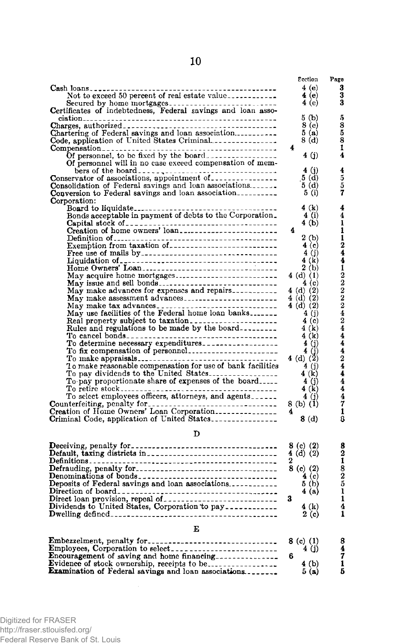|                                                                                                                                        | Ecction          | Page                            |
|----------------------------------------------------------------------------------------------------------------------------------------|------------------|---------------------------------|
|                                                                                                                                        | 4(e)             | 3                               |
| Not to exceed 50 percent of real estate value                                                                                          | 4 (e)            | $\bar{3}$                       |
|                                                                                                                                        | 4 (e)            | 3                               |
|                                                                                                                                        |                  |                                 |
|                                                                                                                                        | 5 (b)            | 5                               |
|                                                                                                                                        | 8 (e)            | 8<br>5                          |
| Chartering of Federal savings and loan association                                                                                     | 5(a)             |                                 |
| Code, application of United States Criminal                                                                                            | 8(d)             | 8                               |
|                                                                                                                                        | 4                | 1                               |
| Of personnel, to be fixed by the board                                                                                                 | 4 (j)            | 4                               |
| Of personnel will in no case exceed compensation of mem-                                                                               |                  |                                 |
|                                                                                                                                        | 4(j)             | $4\overline{5}$ $5\overline{7}$ |
| Conservator of associations, appointment of                                                                                            | 5(d)             |                                 |
| Consolidation of Federal savings and loan associations.                                                                                | 5 (d)            |                                 |
| Conversion to Federal savings and loan association                                                                                     | 5(j)             |                                 |
| Corporation:                                                                                                                           |                  | 4                               |
|                                                                                                                                        | 4(k)             | $\overline{\mathbf{4}}$         |
|                                                                                                                                        | 4(i)<br>4(b)     | ī                               |
|                                                                                                                                        | 4                |                                 |
|                                                                                                                                        | 2(b)             | 11244                           |
|                                                                                                                                        | 4 <sub>(c)</sub> |                                 |
|                                                                                                                                        | 4(j)             |                                 |
|                                                                                                                                        | 4(k)             |                                 |
|                                                                                                                                        | 2(b)             |                                 |
| May acquire home mortgages                                                                                                             | $4(d)$ (1)       |                                 |
| May issue and sell bonds                                                                                                               | 4(c)             | $22222$<br>$2424$               |
|                                                                                                                                        | 4 (d) $(2)$      |                                 |
|                                                                                                                                        | 4(d) (2)         |                                 |
| May make tax advances                                                                                                                  | 4 (d) (2)        |                                 |
| May use facilities of the Federal home loan banks                                                                                      | 4(j)             |                                 |
| Real property subject to taxation.                                                                                                     | 4(c)             |                                 |
|                                                                                                                                        | 4 (k)            |                                 |
|                                                                                                                                        | 4 (k)            | $\frac{1}{4}$                   |
| To determine necessary expenditures___________________                                                                                 | 4(j)             |                                 |
| To fix compensation of personnel                                                                                                       | 4(j)             |                                 |
|                                                                                                                                        | 4 (d) $(2)$      | $\frac{4}{2}$ $\frac{4}{4}$     |
|                                                                                                                                        | 4 (j)            |                                 |
| To pay dividends to the United States                                                                                                  | 4(k)             |                                 |
| To pay proportionate share of expenses of the board                                                                                    | 4(j)             | $\frac{4}{4}$                   |
|                                                                                                                                        | 4(k)             |                                 |
|                                                                                                                                        | 4 (j)            | 4                               |
|                                                                                                                                        | 8 (b) (1)        | 7                               |
|                                                                                                                                        | 4                | 1                               |
| Criminal Code, application of United States                                                                                            | 8(d)             | 8                               |
|                                                                                                                                        |                  |                                 |
| D                                                                                                                                      |                  |                                 |
|                                                                                                                                        | 8 (c) (2)        |                                 |
|                                                                                                                                        | $4(d)$ (2)       | $\frac{8}{2}$                   |
|                                                                                                                                        | 2                |                                 |
|                                                                                                                                        | $8$ (c) $(2)$    |                                 |
|                                                                                                                                        | 4(c)             |                                 |
| Deposits of Federal savings and loan associations                                                                                      | 5 <sub>(b)</sub> | $\frac{8}{25}$                  |
|                                                                                                                                        | 4 (a)            |                                 |
|                                                                                                                                        | 3                | $\mathbf{1}$                    |
| Direct loan provision, repeal of and according to pay and the provision of the states, Corporation to pay and according to the states. | 4 (k)            | 4                               |
|                                                                                                                                        | 2(c)             | 1                               |
|                                                                                                                                        |                  |                                 |
| Е                                                                                                                                      |                  |                                 |

| Embezzelment, penalty for $z = 1$ and $z = 8$ (c) (1)       |       |    |
|-------------------------------------------------------------|-------|----|
|                                                             | 4 (i) |    |
| <b>Encouragement</b> of saving and home financing           |       |    |
| Evidence of stock ownership, receipts to be                 | 4(b)  |    |
| <b>Examination of Federal savings and loan associations</b> | 5(a)  | Б. |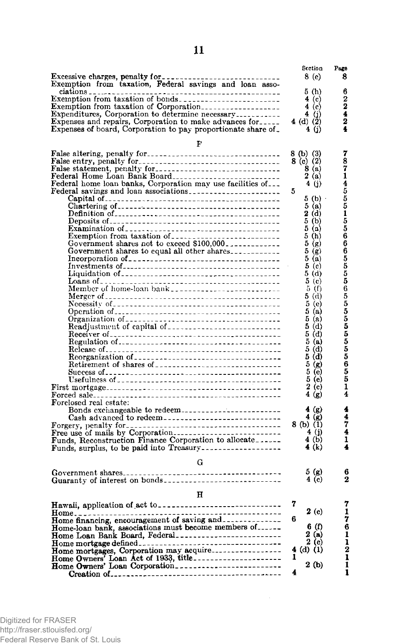|                                                                                                   | Section                                                                | Page                             |
|---------------------------------------------------------------------------------------------------|------------------------------------------------------------------------|----------------------------------|
|                                                                                                   | 8 (e)                                                                  | 8                                |
|                                                                                                   |                                                                        |                                  |
| ciations <sub>- .</sub><br>$\frac{1}{2}$                                                          | 5(h)                                                                   | 6                                |
|                                                                                                   | 4(c)                                                                   | $\frac{2}{4}$                    |
| Expenditures, Corporation to determine necessary                                                  | 4 $(c)$                                                                |                                  |
| Expenses and repairs, Corporation to make advances for                                            | 4 (j)<br>4 (d) (2)                                                     | 2                                |
| Expenses of board, Corporation to pay proportionate share of                                      | 4 (j)                                                                  | 4                                |
|                                                                                                   |                                                                        |                                  |
| F                                                                                                 |                                                                        |                                  |
| False altering, penalty for                                                                       |                                                                        |                                  |
|                                                                                                   | 8 (b) (3)<br>8 (c) (2)                                                 |                                  |
| False statement, penalty for                                                                      | 8(a)                                                                   |                                  |
| Federal Home Loan Bank Board                                                                      | 2(a)                                                                   |                                  |
| Federal home loan banks, Corporation may use facilities of                                        | 4(j)                                                                   |                                  |
| Federal savings and loan associations                                                             | 5                                                                      |                                  |
|                                                                                                   | 5(b)                                                                   |                                  |
|                                                                                                   | 5(a)                                                                   |                                  |
|                                                                                                   | 2(d)<br>5(b)                                                           |                                  |
|                                                                                                   | 5(1)                                                                   |                                  |
|                                                                                                   | 5(h)                                                                   |                                  |
| Examination of<br>Exemption from taxation of<br>Government shares not to exceed \$100,000.        | 5(g)                                                                   |                                  |
| Government shares to equal all other shares                                                       | 5(g)                                                                   |                                  |
|                                                                                                   | $5(\tilde{a})$                                                         |                                  |
|                                                                                                   | $5\left(\tilde{c}\right)$                                              |                                  |
|                                                                                                   | 5(d)                                                                   |                                  |
|                                                                                                   | $5($ c $)$                                                             | 78714555155666555565555555555551 |
|                                                                                                   | 5(f)                                                                   |                                  |
|                                                                                                   | 5 (d)                                                                  |                                  |
|                                                                                                   | 5 <sub>(e)</sub>                                                       |                                  |
|                                                                                                   | 5(a)<br>5(a)                                                           |                                  |
|                                                                                                   | 5(d)                                                                   |                                  |
|                                                                                                   | 5(d)                                                                   |                                  |
|                                                                                                   | 5(a)                                                                   |                                  |
|                                                                                                   | 5(d)                                                                   |                                  |
|                                                                                                   | 5(d)                                                                   |                                  |
| Retirement of shares of __________________________________                                        | 5(g)                                                                   |                                  |
|                                                                                                   | $5($ e $)$                                                             |                                  |
|                                                                                                   | 5(e)                                                                   |                                  |
|                                                                                                   | 2(c)                                                                   |                                  |
|                                                                                                   | 4 (g)                                                                  | $\overline{\mathbf{4}}$          |
| Forclosed real estate:                                                                            |                                                                        |                                  |
| Bonds exchangeable to redeem                                                                      | 4(g)                                                                   | 4                                |
|                                                                                                   | $\begin{pmatrix} 4 & \widetilde{g} \\ 8 & \widetilde{b} \end{pmatrix}$ |                                  |
|                                                                                                   | 4(j)                                                                   | $\frac{4}{7}$                    |
|                                                                                                   | 4(b)                                                                   | 1                                |
| Funds, Reconstruction Finance Corporation to allocate<br>Funds, surplus, to be paid into Treasury | 4 (k)                                                                  | 4                                |
|                                                                                                   |                                                                        |                                  |
| G                                                                                                 |                                                                        |                                  |
|                                                                                                   | 5(g)                                                                   | 6                                |
|                                                                                                   | 4(c)                                                                   | $\bf{2}$                         |
|                                                                                                   |                                                                        |                                  |
| н                                                                                                 |                                                                        |                                  |
|                                                                                                   | 7                                                                      | 7                                |
|                                                                                                   | 2(c)                                                                   | $\frac{1}{7}$                    |
|                                                                                                   | 6                                                                      |                                  |
| Home-loan bank, associations must become members of                                               | 6(f)                                                                   | 6                                |
| Home Loan Bank Board, Federal                                                                     | 2(a)                                                                   |                                  |
|                                                                                                   | 2(c)                                                                   |                                  |
|                                                                                                   | $4$ (d) (1)                                                            |                                  |
|                                                                                                   | 2(b)                                                                   | 1112                             |
| Home Owners' Loan Corporation_________________________                                            | 4                                                                      | 1                                |
|                                                                                                   |                                                                        |                                  |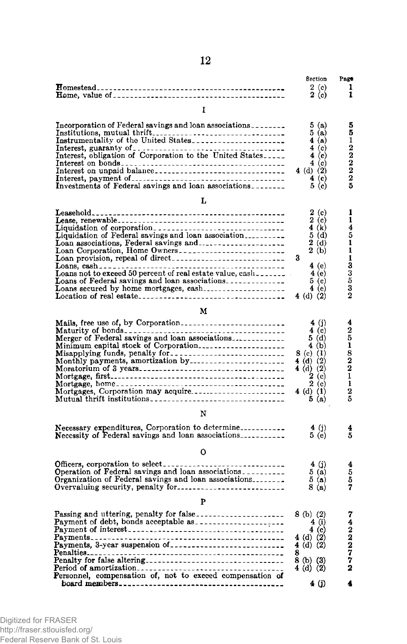|                                                                                                              | Section                                                    | Page                        |
|--------------------------------------------------------------------------------------------------------------|------------------------------------------------------------|-----------------------------|
|                                                                                                              | $\begin{smallmatrix} 2 & (c) \\ 2 & (c) \end{smallmatrix}$ | 1                           |
|                                                                                                              |                                                            | 1                           |
| Ι                                                                                                            |                                                            |                             |
| Incorporation of Federal savings and loan associations                                                       | 5(a)                                                       | $\frac{5}{5}$               |
|                                                                                                              | 5(a)                                                       |                             |
|                                                                                                              | 4(a)<br>$4$ (c)                                            | $\mathbf{1}$                |
| Interest, guaranty of Corporation to the United States                                                       | 4(c)                                                       |                             |
|                                                                                                              | 4(c)                                                       | $\frac{2}{2}$ $\frac{2}{2}$ |
| Interest on unpaid balance                                                                                   | 4 (d) (2)                                                  |                             |
|                                                                                                              | 4 (c)                                                      |                             |
|                                                                                                              | 5 <sub>(c)</sub>                                           | $\overline{5}$              |
| L                                                                                                            |                                                            |                             |
|                                                                                                              | 2(c)                                                       | 1<br>ī                      |
|                                                                                                              | 2(c)<br>4(k)                                               | 4                           |
| Liquidation of corporation<br>Liquidation of Federal savings and loan association                            | 5(d)                                                       |                             |
|                                                                                                              | 2(d)                                                       | $\frac{5}{1}$               |
|                                                                                                              | 2(b)                                                       |                             |
|                                                                                                              | 3                                                          | 1133532                     |
|                                                                                                              | 4(e)                                                       |                             |
|                                                                                                              | 4(e)                                                       |                             |
| Loans of Federal savings and loan associations<br>Loans secured by home mortgages, cash                      | $5($ c $)$<br>4 (e)                                        |                             |
|                                                                                                              | 4 (d) $(2)$                                                |                             |
| м                                                                                                            |                                                            |                             |
|                                                                                                              | 4 (j)                                                      |                             |
|                                                                                                              | 4(c)                                                       |                             |
| Mails, free use of, by Corporation-<br>Maturity of bonds-<br>Merger of Federal savings and loan associations | 5(d)                                                       | 42518221                    |
| Minimum capital stock of Corporation                                                                         | 4(b)                                                       |                             |
|                                                                                                              | 8 (c) $(1)$                                                |                             |
|                                                                                                              | 4 (d) (2)                                                  |                             |
|                                                                                                              | 4 (d) $(2)$                                                |                             |
|                                                                                                              | 2(c)<br>2(c)                                               | $\mathbf{I}$                |
|                                                                                                              | 4 (d) (1)                                                  |                             |
| Mutual thrift institutions                                                                                   | 5(a)                                                       | $\frac{2}{5}$               |
| N                                                                                                            |                                                            |                             |
| Necessary expenditures, Corporation to determine                                                             | 4 $(j)$                                                    | 4                           |
| Necessity of Federal savings and loan associations                                                           | 5(e)                                                       | 5                           |
| 0                                                                                                            |                                                            |                             |
|                                                                                                              | 4(j)                                                       | 4                           |
|                                                                                                              | 5(a)                                                       | $\frac{5}{5}$               |
| Organization of Federal savings and loan associations                                                        | 5(a)                                                       |                             |
| Overvaluing security, penalty for                                                                            | 8(a)                                                       | 7                           |
| P                                                                                                            |                                                            |                             |
|                                                                                                              | $8$ (b) (2)                                                |                             |
|                                                                                                              | 4 (i)                                                      |                             |
|                                                                                                              | $4($ c $)$<br>4 (d) (2)                                    |                             |
|                                                                                                              | 4 (d) $(2)$                                                |                             |
|                                                                                                              | 8                                                          |                             |
|                                                                                                              | 8 (b) (3)                                                  | 74222772                    |
|                                                                                                              | $4$ (d) (2)                                                |                             |
|                                                                                                              |                                                            |                             |
|                                                                                                              | 4 (j)                                                      |                             |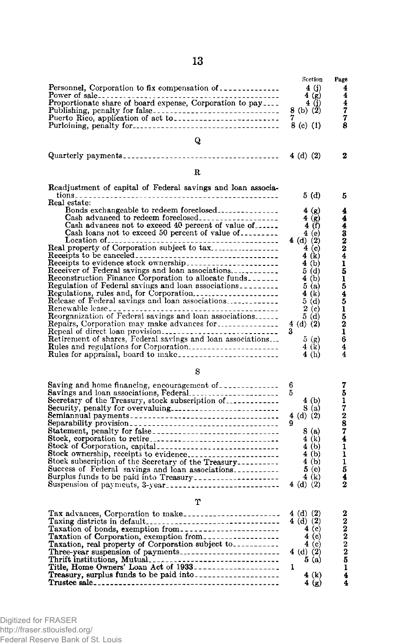|                                                                                                                                                                                                                                                                                                                                                                                                                                                                                                                                                     | Scetion                                                                                                                                                       | Page                                                                  |
|-----------------------------------------------------------------------------------------------------------------------------------------------------------------------------------------------------------------------------------------------------------------------------------------------------------------------------------------------------------------------------------------------------------------------------------------------------------------------------------------------------------------------------------------------------|---------------------------------------------------------------------------------------------------------------------------------------------------------------|-----------------------------------------------------------------------|
| Personnel, Corporation to fix compensation of                                                                                                                                                                                                                                                                                                                                                                                                                                                                                                       | 4 (j)                                                                                                                                                         | 4<br>$\bar{4}$                                                        |
|                                                                                                                                                                                                                                                                                                                                                                                                                                                                                                                                                     | 4(g)<br>4(j)<br>8 (b) (2)                                                                                                                                     |                                                                       |
|                                                                                                                                                                                                                                                                                                                                                                                                                                                                                                                                                     | $8$ (c) (1)                                                                                                                                                   | $\frac{4}{7}$ $\frac{7}{8}$                                           |
| Q                                                                                                                                                                                                                                                                                                                                                                                                                                                                                                                                                   |                                                                                                                                                               |                                                                       |
|                                                                                                                                                                                                                                                                                                                                                                                                                                                                                                                                                     | 4 (d) (2)                                                                                                                                                     | 2                                                                     |
| R                                                                                                                                                                                                                                                                                                                                                                                                                                                                                                                                                   |                                                                                                                                                               |                                                                       |
| Readjustment of capital of Federal savings and loan associa-<br>Real estate:                                                                                                                                                                                                                                                                                                                                                                                                                                                                        | 5(d)                                                                                                                                                          | 5                                                                     |
| Bonds exchangeable to redeem foreclosed<br>Cash advanced to redeem foreclosed<br>Cash advances not to exceed 40 percent of value of<br>Cash loans not to exceed 50 percent of value of<br>Real property of Corporation subject to tax<br>Reconstruction Finance Corporation to allocate funds_______<br>Regulation of Federal savings and loan associations<br>Reorganization of Federal savings and loan associations<br>Repairs, Corporation may make advances for<br>Rules and regulations for Corporation<br>Rules for appraisal, board to make | 4(g)<br>4(q)<br>4(f)<br>4(e)<br>4(d) (2)<br>4(c)<br>4(k)<br>4(b)<br>5(d)<br>4(b)<br>5(a)<br>4(k)<br>5(d)<br>2(c)<br>5(d)<br>4 (d) (2)<br>5(g)<br>4(k)<br>4(h) | 4<br>443224<br>1515451521<br>$\overline{6}$<br>4<br>4                 |
| s                                                                                                                                                                                                                                                                                                                                                                                                                                                                                                                                                   |                                                                                                                                                               |                                                                       |
| Savings and loan associations, Federal<br>Secretary of the Treasury, stock subscription of<br>Security, penalty for overvaluing<br>Stock subscription of the Secretary of the Treasury.<br>Success of Federal savings and loan associations                                                                                                                                                                                                                                                                                                         | 6<br>5<br>4(b)<br>8(a)<br>4 (d) $(2)$<br>8(a)<br>4(k)<br>4(b)<br>4(b)<br>4(b)<br>5(e)<br>4 (k)<br>4 (d) $(2)$                                                 | 7<br>5172874<br>$\frac{1}{1}$<br>$\frac{1}{5}$<br>4<br>$\overline{2}$ |
| T                                                                                                                                                                                                                                                                                                                                                                                                                                                                                                                                                   |                                                                                                                                                               |                                                                       |
| Tax advances, Corporation to make<br>Taxing districts in default<br>Taxation of bonds, exemption from<br>Taxation of Corporation, exemption from<br>Taxation, real property of Corporation subject to<br>Three-year suspension of payments<br>Thrift institutions, Mutual<br>Title, Home Owners' Loan Act of 1933<br>Treasury, surplus funds to be paid into<br>Treasury, surplus funds to be paid into<br>The Context of 1933<br>The Context of 1933<br>The Context of 1933<br>The Context                                                         | 4 (d) (2)<br>4 (d) $(2)$<br>4(c)<br>$4($ c)<br>4 <sub>(c)</sub><br>4 (d) $(2)$<br>5(a)<br>1<br>4(k)<br>4(g)                                                   | $22222$<br>$232514$<br>4                                              |